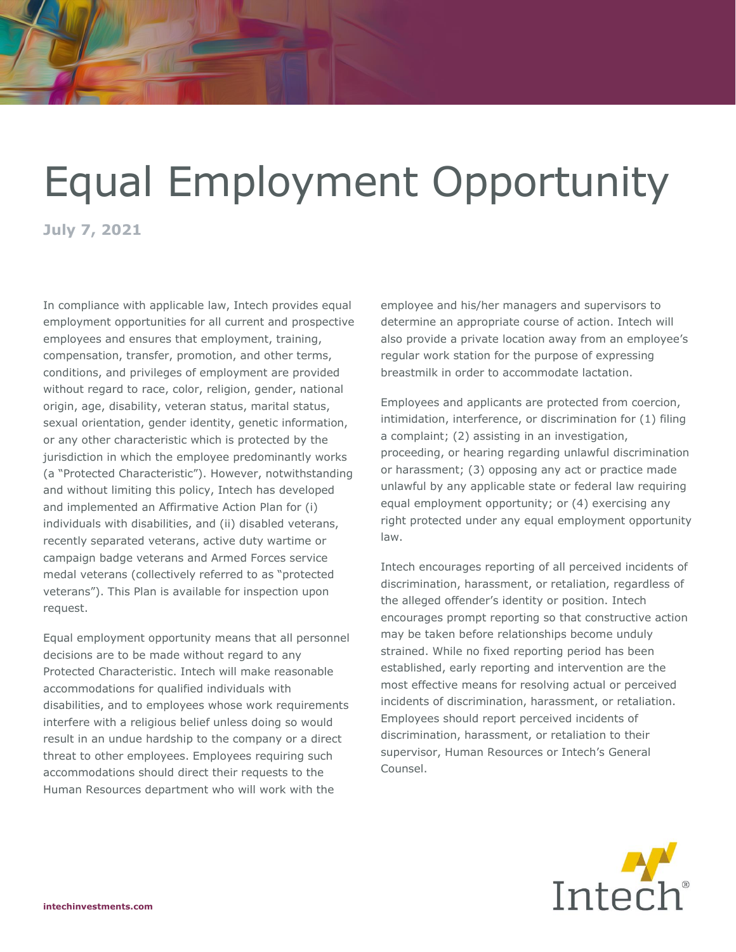## Equal Employment Opportunity

**July 7, 2021**

In compliance with applicable law, Intech provides equal employment opportunities for all current and prospective employees and ensures that employment, training, compensation, transfer, promotion, and other terms, conditions, and privileges of employment are provided without regard to race, color, religion, gender, national origin, age, disability, veteran status, marital status, sexual orientation, gender identity, genetic information, or any other characteristic which is protected by the jurisdiction in which the employee predominantly works (a "Protected Characteristic"). However, notwithstanding and without limiting this policy, Intech has developed and implemented an Affirmative Action Plan for (i) individuals with disabilities, and (ii) disabled veterans, recently separated veterans, active duty wartime or campaign badge veterans and Armed Forces service medal veterans (collectively referred to as "protected veterans"). This Plan is available for inspection upon request.

Equal employment opportunity means that all personnel decisions are to be made without regard to any Protected Characteristic. Intech will make reasonable accommodations for qualified individuals with disabilities, and to employees whose work requirements interfere with a religious belief unless doing so would result in an undue hardship to the company or a direct threat to other employees. Employees requiring such accommodations should direct their requests to the Human Resources department who will work with the

employee and his/her managers and supervisors to determine an appropriate course of action. Intech will also provide a private location away from an employee's regular work station for the purpose of expressing breastmilk in order to accommodate lactation.

Employees and applicants are protected from coercion, intimidation, interference, or discrimination for (1) filing a complaint; (2) assisting in an investigation, proceeding, or hearing regarding unlawful discrimination or harassment; (3) opposing any act or practice made unlawful by any applicable state or federal law requiring equal employment opportunity; or (4) exercising any right protected under any equal employment opportunity law.

Intech encourages reporting of all perceived incidents of discrimination, harassment, or retaliation, regardless of the alleged offender's identity or position. Intech encourages prompt reporting so that constructive action may be taken before relationships become unduly strained. While no fixed reporting period has been established, early reporting and intervention are the most effective means for resolving actual or perceived incidents of discrimination, harassment, or retaliation. Employees should report perceived incidents of discrimination, harassment, or retaliation to their supervisor, Human Resources or Intech's General Counsel.

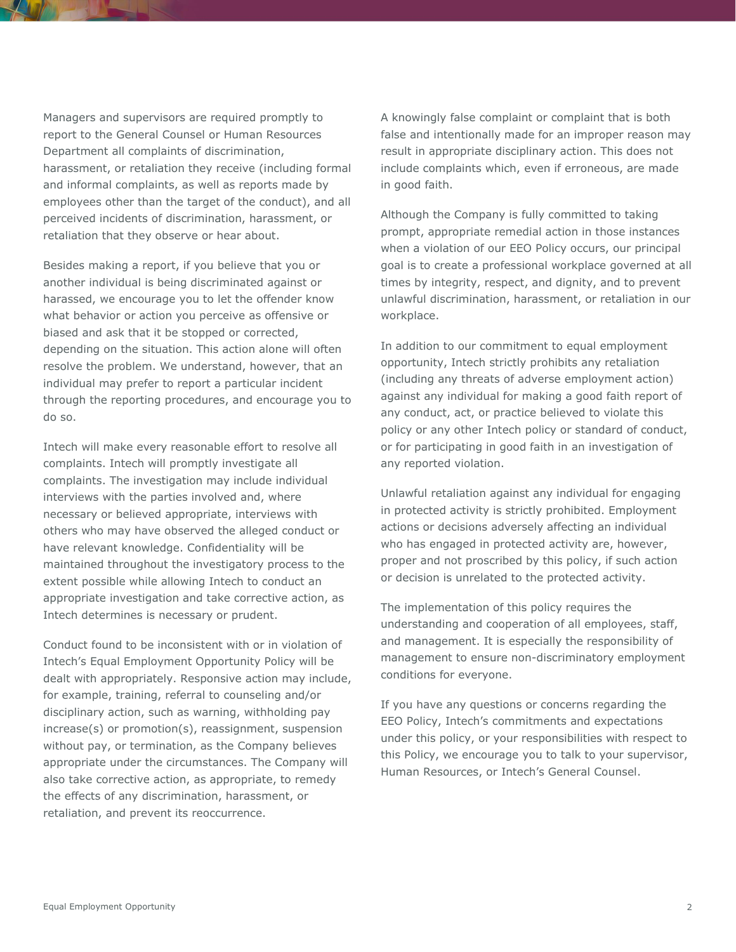Managers and supervisors are required promptly to report to the General Counsel or Human Resources Department all complaints of discrimination, harassment, or retaliation they receive (including formal and informal complaints, as well as reports made by employees other than the target of the conduct), and all perceived incidents of discrimination, harassment, or retaliation that they observe or hear about.

Besides making a report, if you believe that you or another individual is being discriminated against or harassed, we encourage you to let the offender know what behavior or action you perceive as offensive or biased and ask that it be stopped or corrected, depending on the situation. This action alone will often resolve the problem. We understand, however, that an individual may prefer to report a particular incident through the reporting procedures, and encourage you to do so.

Intech will make every reasonable effort to resolve all complaints. Intech will promptly investigate all complaints. The investigation may include individual interviews with the parties involved and, where necessary or believed appropriate, interviews with others who may have observed the alleged conduct or have relevant knowledge. Confidentiality will be maintained throughout the investigatory process to the extent possible while allowing Intech to conduct an appropriate investigation and take corrective action, as Intech determines is necessary or prudent.

Conduct found to be inconsistent with or in violation of Intech's Equal Employment Opportunity Policy will be dealt with appropriately. Responsive action may include, for example, training, referral to counseling and/or disciplinary action, such as warning, withholding pay increase(s) or promotion(s), reassignment, suspension without pay, or termination, as the Company believes appropriate under the circumstances. The Company will also take corrective action, as appropriate, to remedy the effects of any discrimination, harassment, or retaliation, and prevent its reoccurrence.

A knowingly false complaint or complaint that is both false and intentionally made for an improper reason may result in appropriate disciplinary action. This does not include complaints which, even if erroneous, are made in good faith.

Although the Company is fully committed to taking prompt, appropriate remedial action in those instances when a violation of our EEO Policy occurs, our principal goal is to create a professional workplace governed at all times by integrity, respect, and dignity, and to prevent unlawful discrimination, harassment, or retaliation in our workplace.

In addition to our commitment to equal employment opportunity, Intech strictly prohibits any retaliation (including any threats of adverse employment action) against any individual for making a good faith report of any conduct, act, or practice believed to violate this policy or any other Intech policy or standard of conduct, or for participating in good faith in an investigation of any reported violation.

Unlawful retaliation against any individual for engaging in protected activity is strictly prohibited. Employment actions or decisions adversely affecting an individual who has engaged in protected activity are, however, proper and not proscribed by this policy, if such action or decision is unrelated to the protected activity.

The implementation of this policy requires the understanding and cooperation of all employees, staff, and management. It is especially the responsibility of management to ensure non-discriminatory employment conditions for everyone.

If you have any questions or concerns regarding the EEO Policy, Intech's commitments and expectations under this policy, or your responsibilities with respect to this Policy, we encourage you to talk to your supervisor, Human Resources, or Intech's General Counsel.